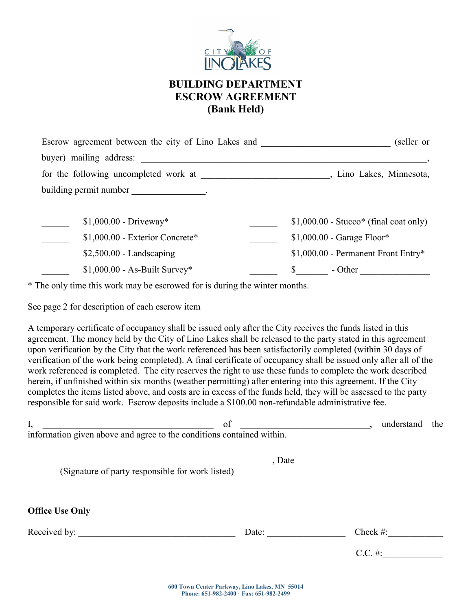

# BUILDING DEPARTMENT ESCROW AGREEMENT (Bank Held)

| Escrow agreement between the city of Lino Lakes and | (seller or                                          |
|-----------------------------------------------------|-----------------------------------------------------|
| buyer) mailing address:                             |                                                     |
| for the following uncompleted work at               | Lino Lakes, Minnesota,                              |
| building permit number                              |                                                     |
| $$1,000.00$ - Driveway*                             | $$1,000.00$ - Stucco <sup>*</sup> (final coat only) |

| $$1,000.00$ - Exterior Concrete* | $$1,000.00$ - Garage Floor*          |  |  |
|----------------------------------|--------------------------------------|--|--|
| $$2,500.00$ - Landscaping        | $$1,000.00$ - Permanent Front Entry* |  |  |
| $$1,000.00 - As-Built Survey*$   | - Other                              |  |  |

\* The only time this work may be escrowed for is during the winter months.

See page 2 for description of each escrow item

A temporary certificate of occupancy shall be issued only after the City receives the funds listed in this agreement. The money held by the City of Lino Lakes shall be released to the party stated in this agreement upon verification by the City that the work referenced has been satisfactorily completed (within 30 days of verification of the work being completed). A final certificate of occupancy shall be issued only after all of the work referenced is completed. The city reserves the right to use these funds to complete the work described herein, if unfinished within six months (weather permitting) after entering into this agreement. If the City completes the items listed above, and costs are in excess of the funds held, they will be assessed to the party responsible for said work. Escrow deposits include a \$100.00 non-refundable administrative fee.

| I,<br>of                                                              |        |             | understand | the |
|-----------------------------------------------------------------------|--------|-------------|------------|-----|
| information given above and agree to the conditions contained within. |        |             |            |     |
|                                                                       | , Date |             |            |     |
| (Signature of party responsible for work listed)                      |        |             |            |     |
|                                                                       |        |             |            |     |
|                                                                       |        |             |            |     |
| <b>Office Use Only</b>                                                |        |             |            |     |
| Received by:                                                          | Date:  | Check $#$ : |            |     |
|                                                                       |        | $C.C.$ #:   |            |     |